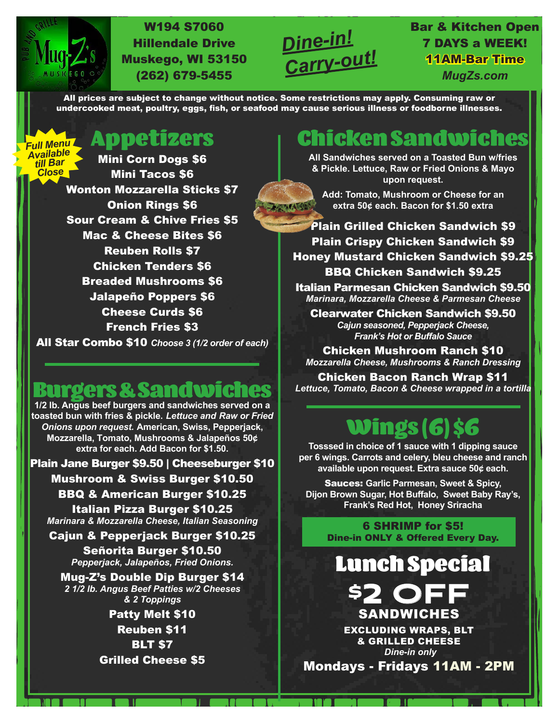

*Full Menu*

#### W194 S7060 Hillendale Drive Muskego, WI 53150 (262) 679-5455



#### Bar & Kitchen Open 7 DAYS a WEEK! 11AM-Bar Time *MugZs.com*

All prices are subject to change without notice. Some restrictions may apply. Consuming raw or undercooked meat, poultry, eggs, fish, or seafood may cause serious illness or foodborne illnesses.

**LOTEL TAG** 

Appetizers

Mini Corn Dogs \$6 Mini Tacos \$6 Wonton Mozzarella Sticks \$7 Onion Rings \$6 Sour Cream & Chive Fries \$5 Mac & Cheese Bites \$6 Reuben Rolls \$7 Chicken Tenders \$6 Breaded Mushrooms \$6 Jalapeño Poppers \$6 Cheese Curds \$6 French Fries \$3 All Star Combo \$10 *Choose 3 (1/2 order of each) Available till Bar Close*

# **Burgers & Sandwiches**<br>1/2 lb. Angus beef burgers and sandwiches served on a

**toasted bun with fries & pickle.** *Lettuce and Raw or Fried Onions upon request.* **American, Swiss, Pepperjack, Mozzarella, Tomato, Mushrooms & Jalapeños 50¢ extra for each. Add Bacon for \$1.50.**

Plain Jane Burger \$9.50 | Cheeseburger \$10 Mushroom & Swiss Burger \$10.50 BBQ & American Burger \$10.25

Italian Pizza Burger \$10.25 *Marinara & Mozzarella Cheese, Italian Seasoning*

Cajun & Pepperjack Burger \$10.25

Señorita Burger \$10.50 *Pepperjack, Jalapeños, Fried Onions.* 

Mug-Z's Double Dip Burger \$14 *2 1/2 lb. Angus Beef Patties w/2 Cheeses & 2 Toppings*

> Patty Melt \$10 Reuben \$11 BLT \$7 Grilled Cheese \$5

#### **Chicken Sandw**

**All Sandwiches served on a Toasted Bun w/fries & Pickle. Lettuce, Raw or Fried Onions & Mayo upon request.**

**Add: Tomato, Mushroom or Cheese for an extra 50¢ each. Bacon for \$1.50 extra**

Plain Grilled Chicken Sandwich \$9 Plain Crispy Chicken Sandwich \$9 Honey Mustard Chicken Sandwich \$9.25 BBQ Chicken Sandwich \$9.25

Italian Parmesan Chicken Sandwich \$9.50 *Marinara, Mozzarella Cheese & Parmesan Cheese*

Clearwater Chicken Sandwich \$9.50 *Cajun seasoned, Pepperjack Cheese, Frank's Hot or Buffalo Sauce*

Chicken Mushroom Ranch \$10 *Mozzarella Cheese, Mushrooms & Ranch Dressing*

Chicken Bacon Ranch Wrap \$11 *Lettuce, Tomato, Bacon & Cheese wrapped in a tortilla*

## ings (6

**Tosssed in choice of 1 sauce with 1 dipping sauce per 6 wings. Carrots and celery, bleu cheese and ranch available upon request. Extra sauce 50¢ each.**

Sauces: **Garlic Parmesan, Sweet & Spicy, Dijon Brown Sugar, Hot Buffalo, Sweet Baby Ray's, Frank's Red Hot, Honey Sriracha**

6 SHRIMP for \$5! Dine-in ONLY & Offered Every Day.

Lunch Special

**\$2 OFF** EXCLUDING WRAPS, BLT & GRILLED CHEESE *Dine-in only*

Mondays - Fridays 11AM - 2PM